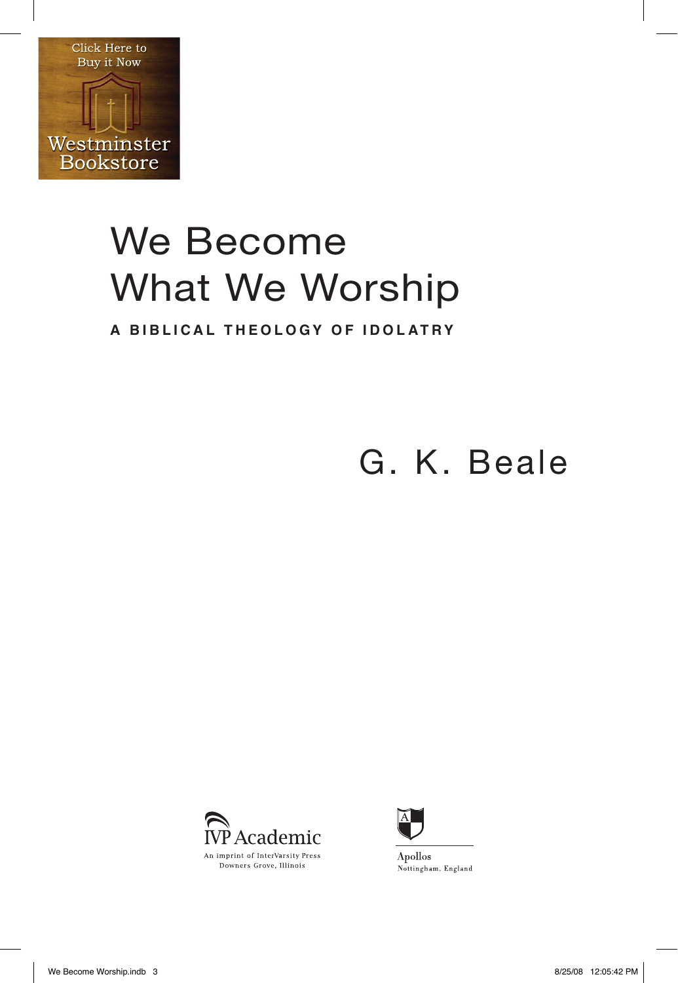

## We Become What We Worship

**A Bi b lic a l Theology of I dol at r y**

## G. K. Beale





Apollos Nottingham, England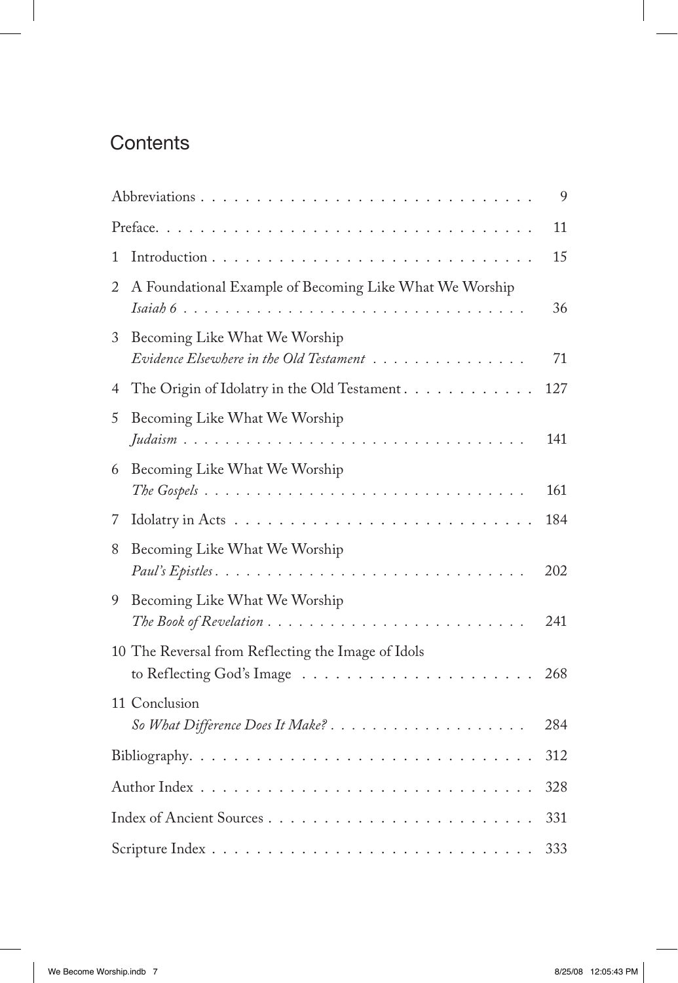## **Contents**

|   |                                                                                                                                    | 9   |
|---|------------------------------------------------------------------------------------------------------------------------------------|-----|
|   |                                                                                                                                    | 11  |
| 1 |                                                                                                                                    | 15  |
| 2 | A Foundational Example of Becoming Like What We Worship                                                                            | 36  |
| 3 | Becoming Like What We Worship<br>Evidence Elsewhere in the Old Testament                                                           | 71  |
| 4 | The Origin of Idolatry in the Old Testament                                                                                        | 127 |
| 5 | Becoming Like What We Worship                                                                                                      | 141 |
| 6 | Becoming Like What We Worship<br>The Gospels $\ldots \ldots \ldots \ldots \ldots \ldots \ldots \ldots \ldots \ldots \ldots \ldots$ | 161 |
| 7 |                                                                                                                                    | 184 |
| 8 | Becoming Like What We Worship                                                                                                      | 202 |
| 9 | Becoming Like What We Worship                                                                                                      | 241 |
|   | 10 The Reversal from Reflecting the Image of Idols                                                                                 | 268 |
|   | 11 Conclusion                                                                                                                      | 284 |
|   |                                                                                                                                    |     |
|   |                                                                                                                                    | 328 |
|   |                                                                                                                                    | 331 |
|   |                                                                                                                                    | 333 |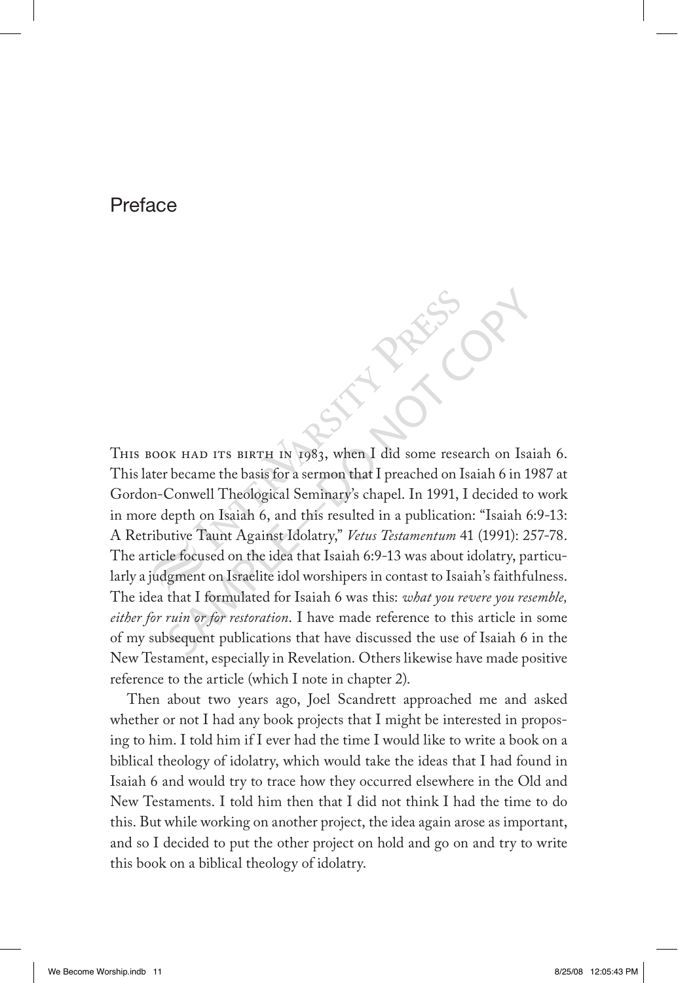## Preface

THIS BOOK HAD ITS BIRTH IN 1983, when I did some research on Isaiah 6. This later became the basis for a sermon that I preached on Isaiah 6 in 1987 at Gordon-Conwell Theological Seminary's chapel. In 1991, I decided to work in more depth on Isaiah 6, and this resulted in a publication: "Isaiah 6:9-13: A Retributive Taunt Against Idolatry," *Vetus Testamentum* 41 (1991): 257-78. The article focused on the idea that Isaiah 6:9-13 was about idolatry, particularly a judgment on Israelite idol worshipers in contast to Isaiah's faithfulness. The idea that I formulated for Isaiah 6 was this: *what you revere you resemble, either for ruin or for restoration*. I have made reference to this article in some of my subsequent publications that have discussed the use of Isaiah 6 in the New Testament, especially in Revelation. Others likewise have made positive reference to the article (which I note in chapter 2). SAMPLITS BIRTH IN 1983, when I did some research on Isai<br>thecame the basis for a sermon that I preached on Isaiah 6 in 15<br>Conwell Theological Seminary's chapel. In 1991, I decided to<br>lepth on Isaiah 6, and this resulted in

Then about two years ago, Joel Scandrett approached me and asked whether or not I had any book projects that I might be interested in proposing to him. I told him if I ever had the time I would like to write a book on a biblical theology of idolatry, which would take the ideas that I had found in Isaiah 6 and would try to trace how they occurred elsewhere in the Old and New Testaments. I told him then that I did not think I had the time to do this. But while working on another project, the idea again arose as important, and so I decided to put the other project on hold and go on and try to write this book on a biblical theology of idolatry.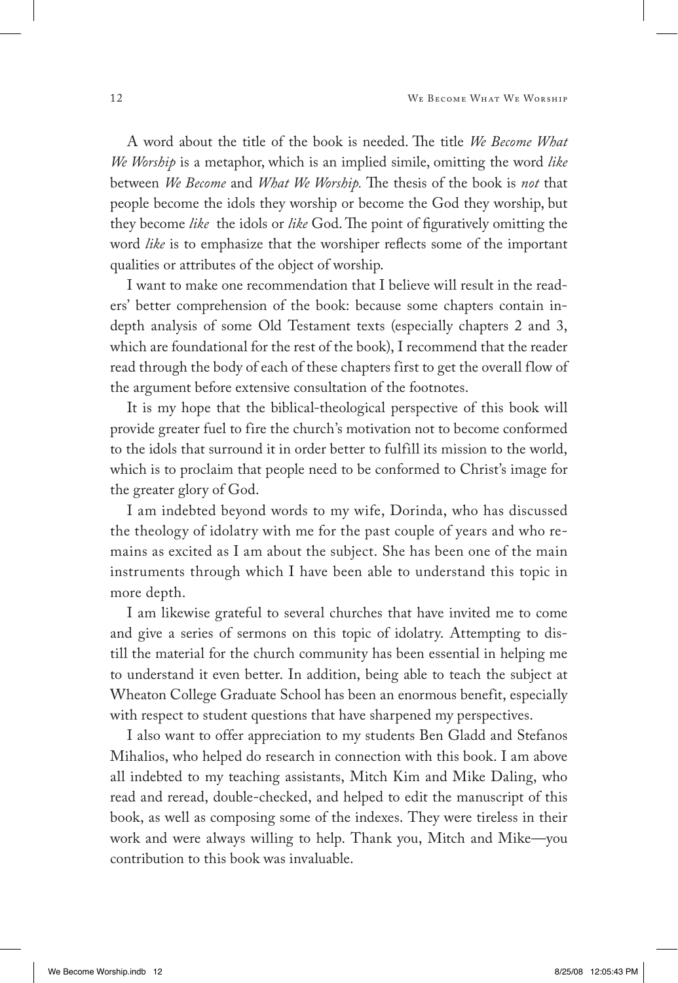A word about the title of the book is needed. The title *We Become What We Worship* is a metaphor, which is an implied simile, omitting the word *like* between *We Become* and *What We Worship.* The thesis of the book is *not* that people become the idols they worship or become the God they worship, but they become *like* the idols or *like* God. The point of figuratively omitting the word *like* is to emphasize that the worshiper reflects some of the important qualities or attributes of the object of worship.

I want to make one recommendation that I believe will result in the readers' better comprehension of the book: because some chapters contain indepth analysis of some Old Testament texts (especially chapters 2 and 3, which are foundational for the rest of the book), I recommend that the reader read through the body of each of these chapters first to get the overall flow of the argument before extensive consultation of the footnotes.

It is my hope that the biblical-theological perspective of this book will provide greater fuel to fire the church's motivation not to become conformed to the idols that surround it in order better to fulfill its mission to the world, which is to proclaim that people need to be conformed to Christ's image for the greater glory of God.

I am indebted beyond words to my wife, Dorinda, who has discussed the theology of idolatry with me for the past couple of years and who remains as excited as I am about the subject. She has been one of the main instruments through which I have been able to understand this topic in more depth.

I am likewise grateful to several churches that have invited me to come and give a series of sermons on this topic of idolatry. Attempting to distill the material for the church community has been essential in helping me to understand it even better. In addition, being able to teach the subject at Wheaton College Graduate School has been an enormous benefit, especially with respect to student questions that have sharpened my perspectives.

I also want to offer appreciation to my students Ben Gladd and Stefanos Mihalios, who helped do research in connection with this book. I am above all indebted to my teaching assistants, Mitch Kim and Mike Daling, who read and reread, double-checked, and helped to edit the manuscript of this book, as well as composing some of the indexes. They were tireless in their work and were always willing to help. Thank you, Mitch and Mike—you contribution to this book was invaluable.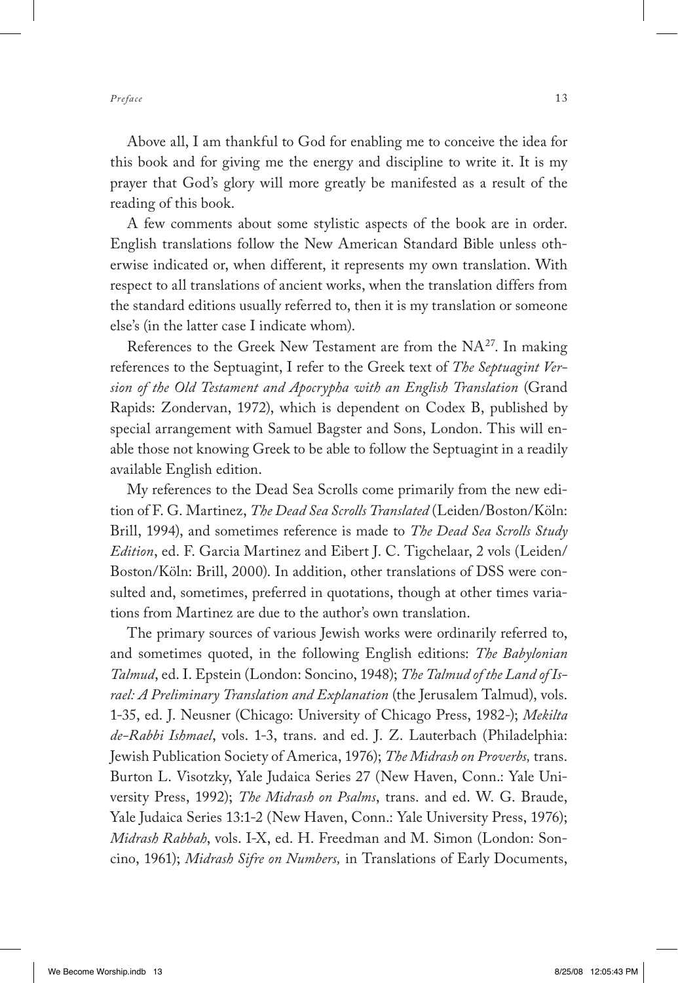Above all, I am thankful to God for enabling me to conceive the idea for this book and for giving me the energy and discipline to write it. It is my prayer that God's glory will more greatly be manifested as a result of the reading of this book.

A few comments about some stylistic aspects of the book are in order. English translations follow the New American Standard Bible unless otherwise indicated or, when different, it represents my own translation. With respect to all translations of ancient works, when the translation differs from the standard editions usually referred to, then it is my translation or someone else's (in the latter case I indicate whom).

References to the Greek New Testament are from the  $NA^{27}$ . In making references to the Septuagint, I refer to the Greek text of *The Septuagint Version of the Old Testament and Apocrypha with an English Translation* (Grand Rapids: Zondervan, 1972), which is dependent on Codex B, published by special arrangement with Samuel Bagster and Sons, London. This will enable those not knowing Greek to be able to follow the Septuagint in a readily available English edition.

My references to the Dead Sea Scrolls come primarily from the new edition of F. G. Martinez, *The Dead Sea Scrolls Translated* (Leiden/Boston/Köln: Brill, 1994), and sometimes reference is made to *The Dead Sea Scrolls Study Edition*, ed. F. Garcia Martinez and Eibert J. C. Tigchelaar, 2 vols (Leiden/ Boston/Köln: Brill, 2000). In addition, other translations of DSS were consulted and, sometimes, preferred in quotations, though at other times variations from Martinez are due to the author's own translation.

The primary sources of various Jewish works were ordinarily referred to, and sometimes quoted, in the following English editions: *The Babylonian Talmud*, ed. I. Epstein (London: Soncino, 1948); *The Talmud of the Land of Israel: A Preliminary Translation and Explanation* (the Jerusalem Talmud), vols. 1-35, ed. J. Neusner (Chicago: University of Chicago Press, 1982-); *Mekilta de-Rabbi Ishmael*, vols. 1-3, trans. and ed. J. Z. Lauterbach (Philadelphia: Jewish Publication Society of America, 1976); *The Midrash on Proverbs,* trans. Burton L. Visotzky, Yale Judaica Series 27 (New Haven, Conn.: Yale University Press, 1992); *The Midrash on Psalms*, trans. and ed. W. G. Braude, Yale Judaica Series 13:1-2 (New Haven, Conn.: Yale University Press, 1976); *Midrash Rabbah*, vols. I-X, ed. H. Freedman and M. Simon (London: Soncino, 1961); *Midrash Sifre on Numbers,* in Translations of Early Documents,